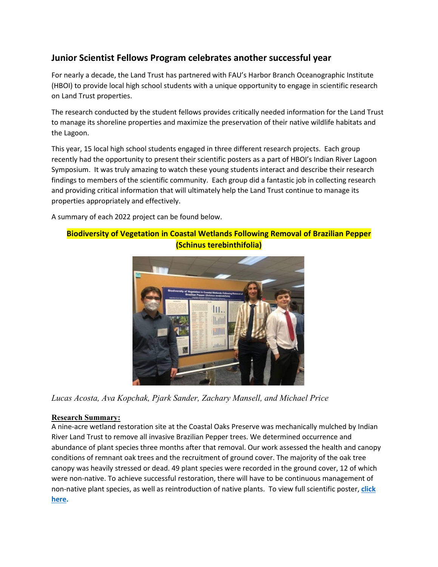# **Junior Scientist Fellows Program celebrates another successful year**

For nearly a decade, the Land Trust has partnered with FAU's Harbor Branch Oceanographic Institute (HBOI) to provide local high school students with a unique opportunity to engage in scientific research on Land Trust properties.

The research conducted by the student fellows provides critically needed information for the Land Trust to manage its shoreline properties and maximize the preservation of their native wildlife habitats and the Lagoon.

This year, 15 local high school students engaged in three different research projects. Each group recently had the opportunity to present their scientific posters as a part of HBOI's Indian River Lagoon Symposium. It was truly amazing to watch these young students interact and describe their research findings to members of the scientific community. Each group did a fantastic job in collecting research and providing critical information that will ultimately help the Land Trust continue to manage its properties appropriately and effectively.

A summary of each 2022 project can be found below.

## **Biodiversity of Vegetation in Coastal Wetlands Following Removal of Brazilian Pepper (Schinus terebinthifolia)**



*Lucas Acosta, Ava Kopchak, Pjark Sander, Zachary Mansell, and Michael Price*

### **Research Summary:**

A nine-acre wetland restoration site at the Coastal Oaks Preserve was mechanically mulched by Indian River Land Trust to remove all invasive Brazilian Pepper trees. We determined occurrence and abundance of plant species three months after that removal. Our work assessed the health and canopy conditions of remnant oak trees and the recruitment of ground cover. The majority of the oak tree canopy was heavily stressed or dead. 49 plant species were recorded in the ground cover, 12 of which were non-native. To achieve successful restoration, there will have to be continuous management of non-native plant species, as well as reintroduction of native plants. To view full scientific poster, **[click](https://www.irlt.org/dfiles/JSP_FY_2022_Vegetation_Poster.pdf)  [here.](https://www.irlt.org/dfiles/JSP_FY_2022_Vegetation_Poster.pdf)**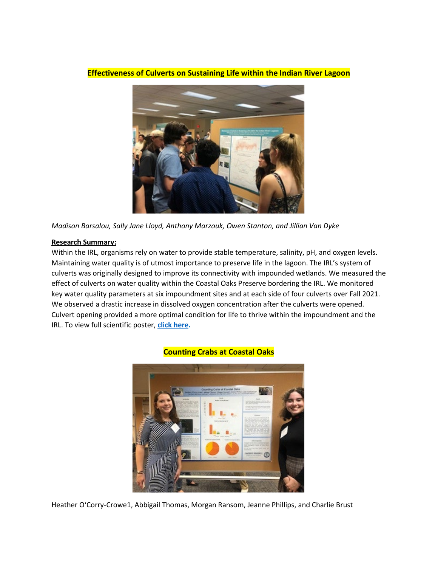

**Effectiveness of Culverts on Sustaining Life within the Indian River Lagoon**

*Madison Barsalou, Sally Jane Lloyd, Anthony Marzouk, Owen Stanton, and Jillian Van Dyke*

#### **Research Summary:**

Within the IRL, organisms rely on water to provide stable temperature, salinity, pH, and oxygen levels. Maintaining water quality is of utmost importance to preserve life in the lagoon. The IRL's system of culverts was originally designed to improve its connectivity with impounded wetlands. We measured the effect of culverts on water quality within the Coastal Oaks Preserve bordering the IRL. We monitored key water quality parameters at six impoundment sites and at each side of four culverts over Fall 2021. We observed a drastic increase in dissolved oxygen concentration after the culverts were opened. Culvert opening provided a more optimal condition for life to thrive within the impoundment and the IRL. To view full scientific poster, **[click here.](https://www.irlt.org/dfiles/JSP_FY_2022_Water_Quality_Poster.pdf)**



#### **Counting Crabs at Coastal Oaks**

Heather O'Corry-Crowe1, Abbigail Thomas, Morgan Ransom, Jeanne Phillips, and Charlie Brust